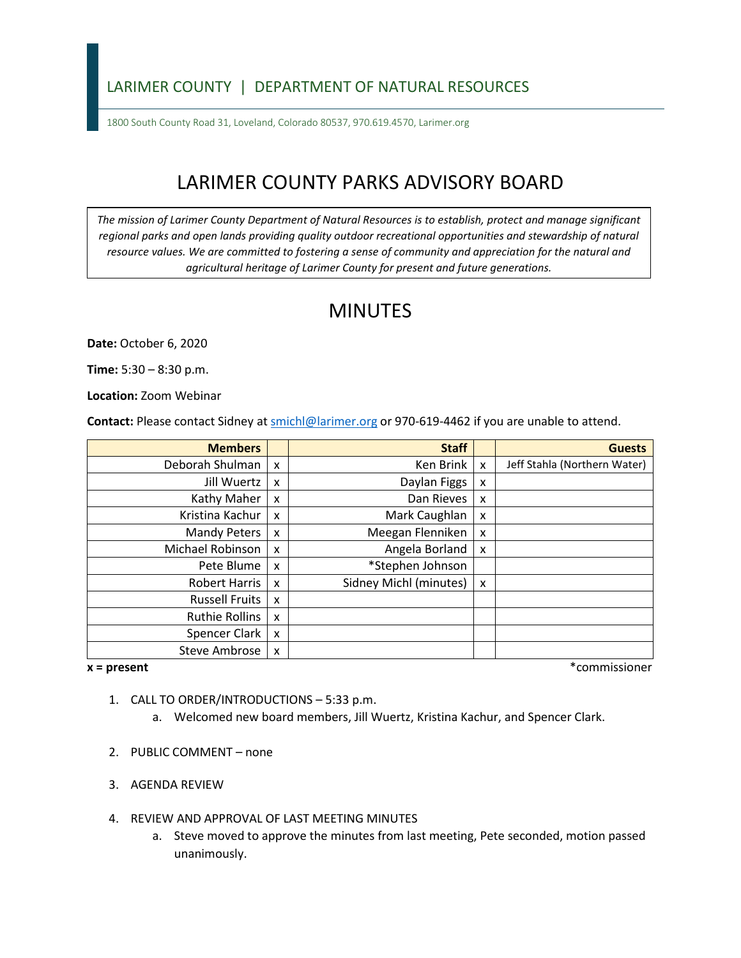## LARIMER COUNTY | DEPARTMENT OF NATURAL RESOURCES

1800 South County Road 31, Loveland, Colorado 80537, 970.619.4570, Larimer.org

# LARIMER COUNTY PARKS ADVISORY BOARD

*The mission of Larimer County Department of Natural Resources is to establish, protect and manage significant*  regional parks and open lands providing quality outdoor recreational opportunities and stewardship of natural *resource values. We are committed to fostering a sense of community and appreciation for the natural and agricultural heritage of Larimer County for present and future generations.*

## MINUTES

**Date:** October 6, 2020

**Time:** 5:30 – 8:30 p.m.

**Location:** Zoom Webinar

**Contact:** Please contact Sidney a[t smichl@larimer.org](mailto:smichl@larimer.org) or 970-619-4462 if you are unable to attend.

| <b>Members</b>        |   | <b>Staff</b>           |   | <b>Guests</b>                |
|-----------------------|---|------------------------|---|------------------------------|
| Deborah Shulman       | X | Ken Brink              | X | Jeff Stahla (Northern Water) |
| Jill Wuertz           | X | Daylan Figgs           | x |                              |
| Kathy Maher           | X | Dan Rieves             | x |                              |
| Kristina Kachur       | X | Mark Caughlan          | x |                              |
| Mandy Peters          | X | Meegan Flenniken       | x |                              |
| Michael Robinson      | X | Angela Borland         | x |                              |
| Pete Blume            | X | *Stephen Johnson       |   |                              |
| <b>Robert Harris</b>  | X | Sidney Michl (minutes) | x |                              |
| <b>Russell Fruits</b> | X |                        |   |                              |
| <b>Ruthie Rollins</b> | X |                        |   |                              |
| Spencer Clark         | X |                        |   |                              |
| <b>Steve Ambrose</b>  | X |                        |   |                              |

**x = present** \*commissioner

- 1. CALL TO ORDER/INTRODUCTIONS 5:33 p.m.
	- a. Welcomed new board members, Jill Wuertz, Kristina Kachur, and Spencer Clark.
- 2. PUBLIC COMMENT none
- 3. AGENDA REVIEW
- 4. REVIEW AND APPROVAL OF LAST MEETING MINUTES
	- a. Steve moved to approve the minutes from last meeting, Pete seconded, motion passed unanimously.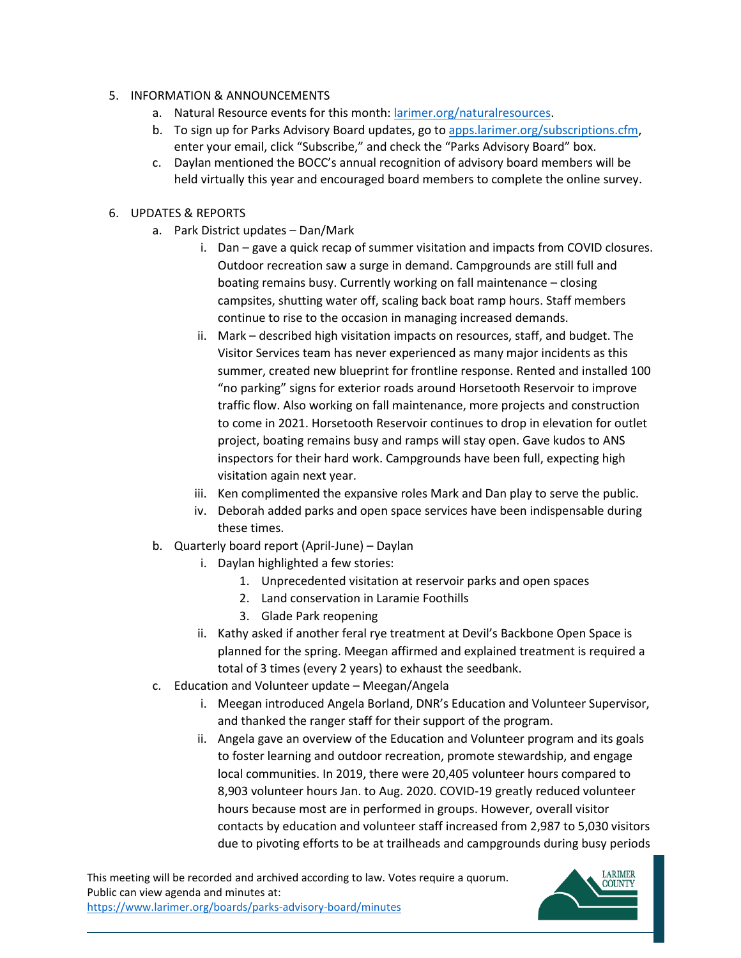#### 5. INFORMATION & ANNOUNCEMENTS

- a. Natural Resource events for this month: [larimer.org/naturalresources.](https://www.larimer.org/naturalresources)
- b. To sign up for Parks Advisory Board updates, go to [apps.larimer.org/subscriptions.cfm,](https://apps.larimer.org/subscriptions.cfm) enter your email, click "Subscribe," and check the "Parks Advisory Board" box.
- c. Daylan mentioned the BOCC's annual recognition of advisory board members will be held virtually this year and encouraged board members to complete the online survey.

#### 6. UPDATES & REPORTS

- a. Park District updates Dan/Mark
	- i. Dan gave a quick recap of summer visitation and impacts from COVID closures. Outdoor recreation saw a surge in demand. Campgrounds are still full and boating remains busy. Currently working on fall maintenance – closing campsites, shutting water off, scaling back boat ramp hours. Staff members continue to rise to the occasion in managing increased demands.
	- ii. Mark described high visitation impacts on resources, staff, and budget. The Visitor Services team has never experienced as many major incidents as this summer, created new blueprint for frontline response. Rented and installed 100 "no parking" signs for exterior roads around Horsetooth Reservoir to improve traffic flow. Also working on fall maintenance, more projects and construction to come in 2021. Horsetooth Reservoir continues to drop in elevation for outlet project, boating remains busy and ramps will stay open. Gave kudos to ANS inspectors for their hard work. Campgrounds have been full, expecting high visitation again next year.
	- iii. Ken complimented the expansive roles Mark and Dan play to serve the public.
	- iv. Deborah added parks and open space services have been indispensable during these times.
- b. Quarterly board report (April-June) Daylan
	- i. Daylan highlighted a few stories:
		- 1. Unprecedented visitation at reservoir parks and open spaces
		- 2. Land conservation in Laramie Foothills
		- 3. Glade Park reopening
	- ii. Kathy asked if another feral rye treatment at Devil's Backbone Open Space is planned for the spring. Meegan affirmed and explained treatment is required a total of 3 times (every 2 years) to exhaust the seedbank.
- c. Education and Volunteer update Meegan/Angela
	- i. Meegan introduced Angela Borland, DNR's Education and Volunteer Supervisor, and thanked the ranger staff for their support of the program.
	- ii. Angela gave an overview of the Education and Volunteer program and its goals to foster learning and outdoor recreation, promote stewardship, and engage local communities. In 2019, there were 20,405 volunteer hours compared to 8,903 volunteer hours Jan. to Aug. 2020. COVID-19 greatly reduced volunteer hours because most are in performed in groups. However, overall visitor contacts by education and volunteer staff increased from 2,987 to 5,030 visitors due to pivoting efforts to be at trailheads and campgrounds during busy periods

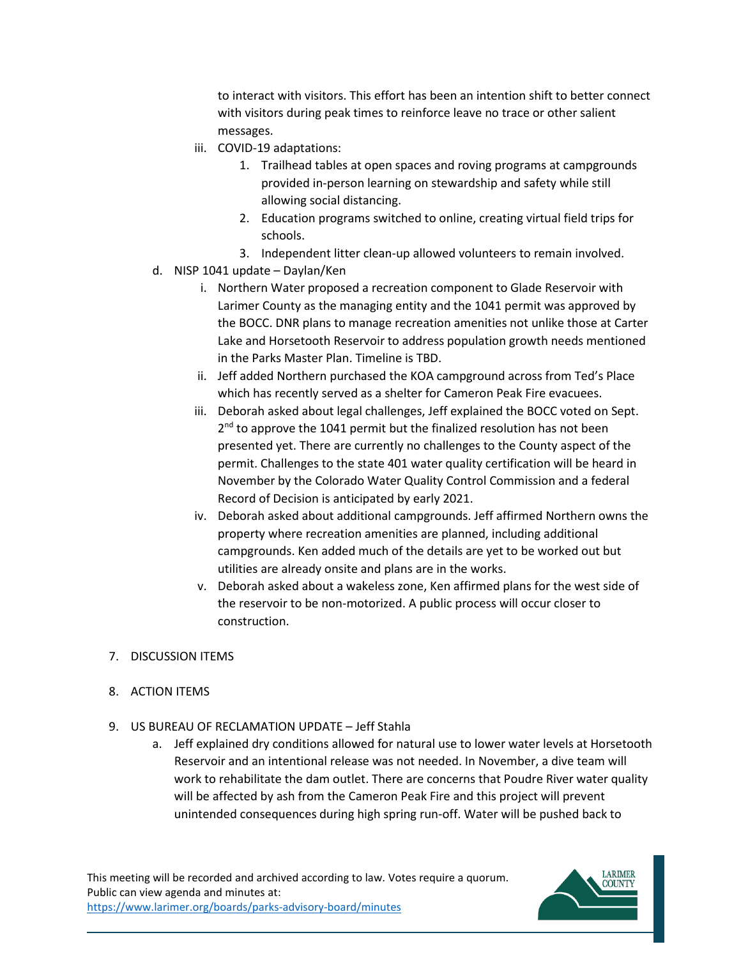to interact with visitors. This effort has been an intention shift to better connect with visitors during peak times to reinforce leave no trace or other salient messages.

- iii. COVID-19 adaptations:
	- 1. Trailhead tables at open spaces and roving programs at campgrounds provided in-person learning on stewardship and safety while still allowing social distancing.
	- 2. Education programs switched to online, creating virtual field trips for schools.
	- 3. Independent litter clean-up allowed volunteers to remain involved.
- d. NISP 1041 update Daylan/Ken
	- i. Northern Water proposed a recreation component to Glade Reservoir with Larimer County as the managing entity and the 1041 permit was approved by the BOCC. DNR plans to manage recreation amenities not unlike those at Carter Lake and Horsetooth Reservoir to address population growth needs mentioned in the Parks Master Plan. Timeline is TBD.
	- ii. Jeff added Northern purchased the KOA campground across from Ted's Place which has recently served as a shelter for Cameron Peak Fire evacuees.
	- iii. Deborah asked about legal challenges, Jeff explained the BOCC voted on Sept.  $2<sup>nd</sup>$  to approve the 1041 permit but the finalized resolution has not been presented yet. There are currently no challenges to the County aspect of the permit. Challenges to the state 401 water quality certification will be heard in November by the Colorado Water Quality Control Commission and a federal Record of Decision is anticipated by early 2021.
	- iv. Deborah asked about additional campgrounds. Jeff affirmed Northern owns the property where recreation amenities are planned, including additional campgrounds. Ken added much of the details are yet to be worked out but utilities are already onsite and plans are in the works.
	- v. Deborah asked about a wakeless zone, Ken affirmed plans for the west side of the reservoir to be non-motorized. A public process will occur closer to construction.

#### 7. DISCUSSION ITEMS

- 8. ACTION ITEMS
- 9. US BUREAU OF RECLAMATION UPDATE Jeff Stahla
	- a. Jeff explained dry conditions allowed for natural use to lower water levels at Horsetooth Reservoir and an intentional release was not needed. In November, a dive team will work to rehabilitate the dam outlet. There are concerns that Poudre River water quality will be affected by ash from the Cameron Peak Fire and this project will prevent unintended consequences during high spring run-off. Water will be pushed back to

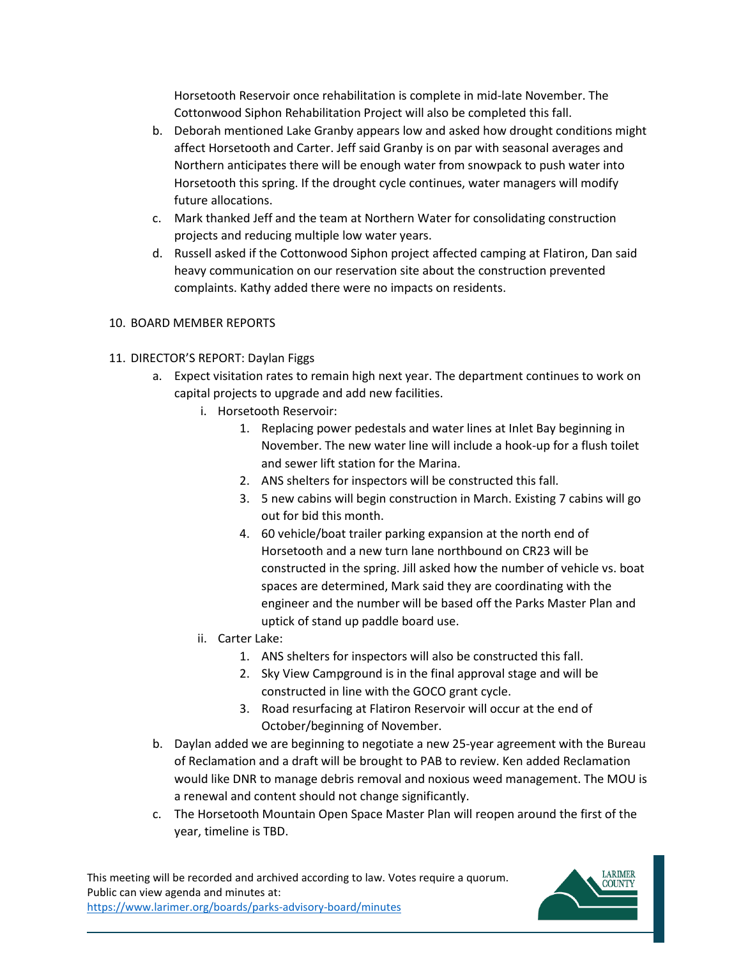Horsetooth Reservoir once rehabilitation is complete in mid-late November. The Cottonwood Siphon Rehabilitation Project will also be completed this fall.

- b. Deborah mentioned Lake Granby appears low and asked how drought conditions might affect Horsetooth and Carter. Jeff said Granby is on par with seasonal averages and Northern anticipates there will be enough water from snowpack to push water into Horsetooth this spring. If the drought cycle continues, water managers will modify future allocations.
- c. Mark thanked Jeff and the team at Northern Water for consolidating construction projects and reducing multiple low water years.
- d. Russell asked if the Cottonwood Siphon project affected camping at Flatiron, Dan said heavy communication on our reservation site about the construction prevented complaints. Kathy added there were no impacts on residents.

### 10. BOARD MEMBER REPORTS

- 11. DIRECTOR'S REPORT: Daylan Figgs
	- a. Expect visitation rates to remain high next year. The department continues to work on capital projects to upgrade and add new facilities.
		- i. Horsetooth Reservoir:
			- 1. Replacing power pedestals and water lines at Inlet Bay beginning in November. The new water line will include a hook-up for a flush toilet and sewer lift station for the Marina.
			- 2. ANS shelters for inspectors will be constructed this fall.
			- 3. 5 new cabins will begin construction in March. Existing 7 cabins will go out for bid this month.
			- 4. 60 vehicle/boat trailer parking expansion at the north end of Horsetooth and a new turn lane northbound on CR23 will be constructed in the spring. Jill asked how the number of vehicle vs. boat spaces are determined, Mark said they are coordinating with the engineer and the number will be based off the Parks Master Plan and uptick of stand up paddle board use.
		- ii. Carter Lake:
			- 1. ANS shelters for inspectors will also be constructed this fall.
			- 2. Sky View Campground is in the final approval stage and will be constructed in line with the GOCO grant cycle.
			- 3. Road resurfacing at Flatiron Reservoir will occur at the end of October/beginning of November.
	- b. Daylan added we are beginning to negotiate a new 25-year agreement with the Bureau of Reclamation and a draft will be brought to PAB to review. Ken added Reclamation would like DNR to manage debris removal and noxious weed management. The MOU is a renewal and content should not change significantly.
	- c. The Horsetooth Mountain Open Space Master Plan will reopen around the first of the year, timeline is TBD.

This meeting will be recorded and archived according to law. Votes require a quorum. Public can view agenda and minutes at: <https://www.larimer.org/boards/parks-advisory-board/minutes>